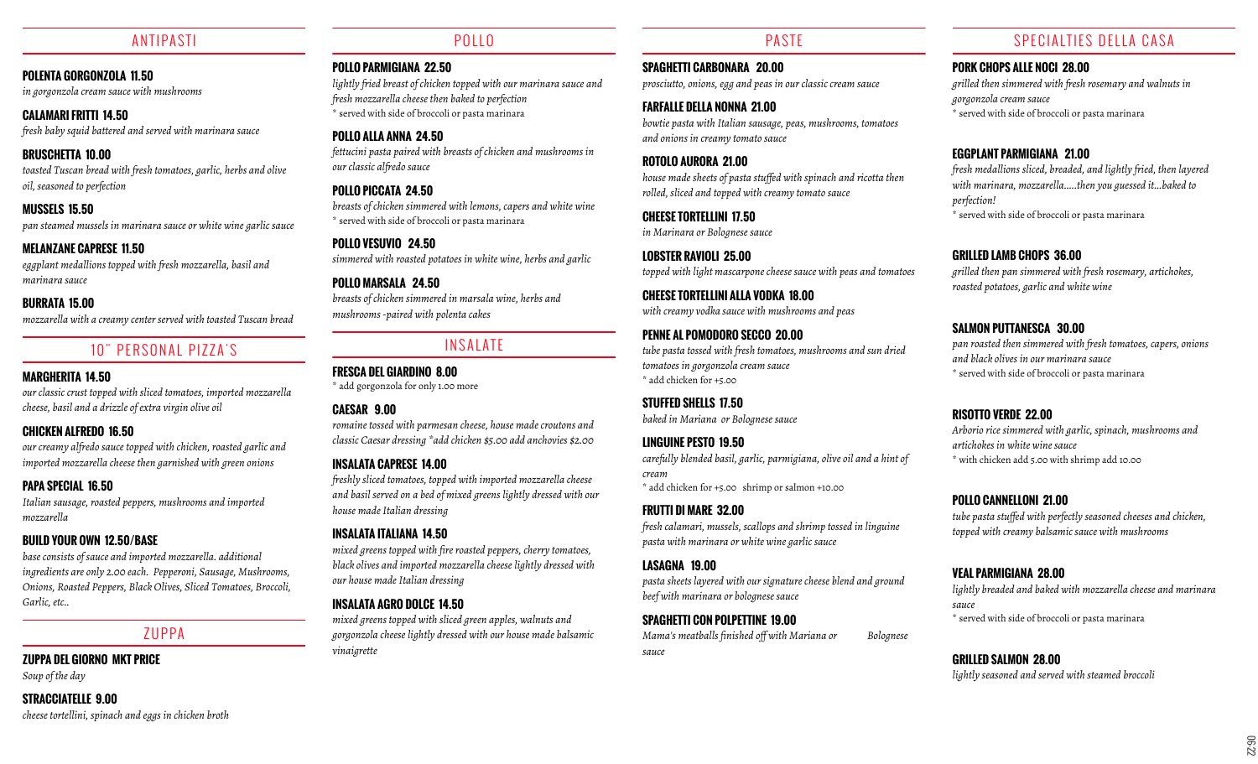## ANTIPASTI

#### **POLENTA GORGONZOLA 11.50**

*in gorgonzola cream sauce with mushrooms*

**CALAMARI FRITTI 14.50** *fresh baby squid battered and served with marinara sauce*

**BRUSCHETTA 10.00** *toasted Tuscan bread with fresh tomatoes, garlic, herbs and olive oil, seasoned to perfection*

# **MUSSELS 15.50**

*pan steamed mussels in marinara sauce or white wine garlic sauce*

#### **MELANZANE CAPRESE 11.50**

*eggplant medallions topped with fresh mozzarella, basil and marinara sauce*

#### **BURRATA 15.00**

*mozzarella with a creamy center served with toasted Tuscan bread*

# 10" PERSONAL PIZZA'S

## **MARGHERITA 14.50**

*our classic crust topped with sliced tomatoes, imported mozzarella cheese, basil and a drizzle of extra virgin olive oil*

## **CHICKEN ALFREDO 16.50**

*our creamy alfredo sauce topped with chicken, roasted garlic and imported mozzarella cheese then garnished with green onions*

## **PAPA SPECIAL 16.50**

*Italian sausage, roasted peppers, mushrooms and imported mozzarella*

## **BUILD YOUR OWN 12.50/BASE**

*base consists of sauce and imported mozzarella. additional ingredients are only 2.00 each. Pepperoni, Sausage, Mushrooms, Onions, Roasted Peppers, Black Olives, Sliced Tomatoes, Broccoli, Garlic, etc..*

## ZUPPA

## **ZUPPA DEL GIORNO MKT PRICE**

*Soup of the day*

#### **STRACCIATELLE 9.00** *cheese tortellini, spinach and eggs in chicken broth*

POLLO

**POLLO PARMIGIANA 22.50** *lightly fried breast of chicken topped with our marinara sauce and fresh mozzarella cheese then baked to perfection* \* served with side of broccoli or pasta marinara

**POLLO ALLA ANNA 24.50** *fettucini pasta paired with breasts of chicken and mushrooms in our classic alfredo sauce*

**POLLO PICCATA 24.50** *breasts of chicken simmered with lemons, capers and white wine* \* served with side of broccoli or pasta marinara

**POLLO VESUVIO 24.50** *simmered with roasted potatoes in white wine, herbs and garlic*

**POLLO MARSALA 24.50** *breasts of chicken simmered in marsala wine, herbs and mushrooms -paired with polenta cakes*

# **INSALATE**

**FRESCA DEL GIARDINO 8.00** \* add gorgonzola for only 1.00 more

## **CAESAR 9.00**

*romaine tossed with parmesan cheese, house made croutons and classic Caesar dressing \*add chicken \$5.00 add anchovies \$2.00*

## **INSALATA CAPRESE 14.00**

*freshly sliced tomatoes, topped with imported mozzarella cheese and basil served on a bed of mixed greens lightly dressed with our house made Italian dressing*

#### **INSALATA ITALIANA 14.50**

*mixed greens topped with fire roasted peppers, cherry tomatoes, black olives and imported mozzarella cheese lightly dressed with our house made Italian dressing*

#### **INSALATA AGRO DOLCE 14.50**

*mixed greens topped with sliced green apples, walnuts and gorgonzola cheese lightly dressed with our house made balsamic vinaigrette*

## PASTE

**SPAGHETTI CARBONARA 20.00** *prosciutto, onions, egg and peas in our classic cream sauce*

**FARFALLE DELLA NONNA 21.00** *bowtie pasta with Italian sausage, peas, mushrooms, tomatoes and onions in creamy tomato sauce*

**ROTOLO AURORA 21.00** *house made sheets of pasta stuffed with spinach and ricotta then rolled, sliced and topped with creamy tomato sauce*

**CHEESE TORTELLINI 17.50** *in Marinara or Bolognese sauce*

**LOBSTER RAVIOLI 25.00** *topped with light mascarpone cheese sauce with peas and tomatoes*

**CHEESE TORTELLINI ALLA VODKA 18.00** *with creamy vodka sauce with mushrooms and peas*

**PENNE AL POMODORO SECCO 20.00** *tube pasta tossed with fresh tomatoes, mushrooms and sun dried tomatoes in gorgonzola cream sauce* \* add chicken for +5.00

**STUFFED SHELLS 17.50** *baked in Mariana or Bolognese sauce*

**LINGUINE PESTO 19.50** *carefully blended basil, garlic, parmigiana, olive oil and a hint of cream* \* add chicken for +5.00 shrimp or salmon +10.00

**FRUTTI DI MARE 32.00** *fresh calamari, mussels, scallops and shrimp tossed in linguine pasta with marinara or white wine garlic sauce*

**LASAGNA 19.00** *pasta sheets layered with our signature cheese blend and ground beef with marinara or bolognese sauce*

**SPAGHETTI CON POLPETTINE 19.00** *Mama's meatballs finished off with Mariana or Bolognese sauce*

## SPECIALTIES DELLA CASA

#### **PORK CHOPS ALLE NOCI 28.00**

*grilled then simmered with fresh rosemary and walnuts in gorgonzola cream sauce* \* served with side of broccoli or pasta marinara

## **EGGPLANT PARMIGIANA 21.00**

*fresh medallions sliced, breaded, and lightly fried, then layered with marinara, mozzarella.....then you guessed it...baked to perfection!* \* served with side of broccoli or pasta marinara

#### **GRILLED LAMB CHOPS 36.00**

*grilled then pan simmered with fresh rosemary, artichokes, roasted potatoes, garlic and white wine*

## **SALMON PUTTANESCA 30.00**

*pan roasted then simmered with fresh tomatoes, capers, onions and black olives in our marinara sauce* \* served with side of broccoli or pasta marinara

#### **RISOTTO VERDE 22.00**

*Arborio rice simmered with garlic, spinach, mushrooms and artichokes in white wine sauce* \* with chicken add 5.00 with shrimp add 10.00

#### **POLLO CANNELLONI 21.00**

*tube pasta stuffed with perfectly seasoned cheeses and chicken, topped with creamy balsamic sauce with mushrooms*

# **VEAL PARMIGIANA 28.00**

*lightly breaded and baked with mozzarella cheese and marinara sauce* \* served with side of broccoli or pasta marinara

#### **GRILLED SALMON 28.00** *lightly seasoned and served with steamed broccoli*